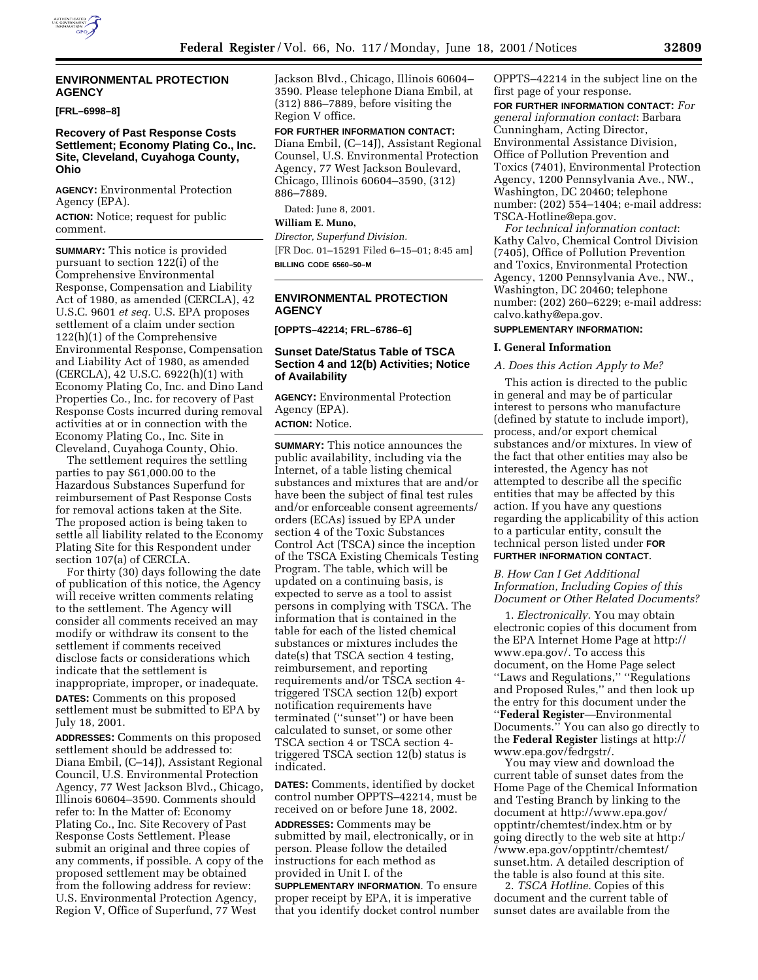## **ENVIRONMENTAL PROTECTION AGENCY**

#### **[FRL–6998–8]**

# **Recovery of Past Response Costs Settlement; Economy Plating Co., Inc. Site, Cleveland, Cuyahoga County, Ohio**

**AGENCY:** Environmental Protection Agency (EPA).

**ACTION:** Notice; request for public comment.

**SUMMARY:** This notice is provided pursuant to section 122(i) of the Comprehensive Environmental Response, Compensation and Liability Act of 1980, as amended (CERCLA), 42 U.S.C. 9601 *et seq.* U.S. EPA proposes settlement of a claim under section 122(h)(1) of the Comprehensive Environmental Response, Compensation and Liability Act of 1980, as amended (CERCLA), 42 U.S.C. 6922(h)(1) with Economy Plating Co, Inc. and Dino Land Properties Co., Inc. for recovery of Past Response Costs incurred during removal activities at or in connection with the Economy Plating Co., Inc. Site in Cleveland, Cuyahoga County, Ohio.

The settlement requires the settling parties to pay \$61,000.00 to the Hazardous Substances Superfund for reimbursement of Past Response Costs for removal actions taken at the Site. The proposed action is being taken to settle all liability related to the Economy Plating Site for this Respondent under section 107(a) of CERCLA.

For thirty (30) days following the date of publication of this notice, the Agency will receive written comments relating to the settlement. The Agency will consider all comments received an may modify or withdraw its consent to the settlement if comments received disclose facts or considerations which indicate that the settlement is inappropriate, improper, or inadequate. **DATES:** Comments on this proposed settlement must be submitted to EPA by July 18, 2001.

**ADDRESSES:** Comments on this proposed settlement should be addressed to: Diana Embil, (C–14J), Assistant Regional Council, U.S. Environmental Protection Agency, 77 West Jackson Blvd., Chicago, Illinois 60604–3590. Comments should refer to: In the Matter of: Economy Plating Co., Inc. Site Recovery of Past Response Costs Settlement. Please submit an original and three copies of any comments, if possible. A copy of the proposed settlement may be obtained from the following address for review: U.S. Environmental Protection Agency, Region V, Office of Superfund, 77 West

Jackson Blvd., Chicago, Illinois 60604– 3590. Please telephone Diana Embil, at (312) 886–7889, before visiting the Region V office.

**FOR FURTHER INFORMATION CONTACT:** Diana Embil, (C–14J), Assistant Regional Counsel, U.S. Environmental Protection Agency, 77 West Jackson Boulevard, Chicago, Illinois 60604–3590, (312) 886–7889.

Dated: June 8, 2001.

# **William E. Muno,**

*Director, Superfund Division.* [FR Doc. 01–15291 Filed 6–15–01; 8:45 am] **BILLING CODE 6560–50–M**

# **ENVIRONMENTAL PROTECTION AGENCY**

**[OPPTS–42214; FRL–6786–6]**

# **Sunset Date/Status Table of TSCA Section 4 and 12(b) Activities; Notice of Availability**

**AGENCY:** Environmental Protection Agency (EPA).

**ACTION:** Notice.

**SUMMARY:** This notice announces the public availability, including via the Internet, of a table listing chemical substances and mixtures that are and/or have been the subject of final test rules and/or enforceable consent agreements/ orders (ECAs) issued by EPA under section 4 of the Toxic Substances Control Act (TSCA) since the inception of the TSCA Existing Chemicals Testing Program. The table, which will be updated on a continuing basis, is expected to serve as a tool to assist persons in complying with TSCA. The information that is contained in the table for each of the listed chemical substances or mixtures includes the date(s) that TSCA section 4 testing, reimbursement, and reporting requirements and/or TSCA section 4 triggered TSCA section 12(b) export notification requirements have terminated (''sunset'') or have been calculated to sunset, or some other TSCA section 4 or TSCA section 4 triggered TSCA section 12(b) status is indicated.

**DATES:** Comments, identified by docket control number OPPTS–42214, must be received on or before June 18, 2002.

**ADDRESSES:** Comments may be submitted by mail, electronically, or in person. Please follow the detailed instructions for each method as provided in Unit I. of the

**SUPPLEMENTARY INFORMATION**. To ensure proper receipt by EPA, it is imperative that you identify docket control number OPPTS–42214 in the subject line on the first page of your response.

**FOR FURTHER INFORMATION CONTACT:** *For general information contact*: Barbara Cunningham, Acting Director, Environmental Assistance Division, Office of Pollution Prevention and Toxics (7401), Environmental Protection Agency, 1200 Pennsylvania Ave., NW., Washington, DC 20460; telephone number: (202) 554–1404; e-mail address: TSCA-Hotline@epa.gov.

*For technical information contact*: Kathy Calvo, Chemical Control Division (7405), Office of Pollution Prevention and Toxics, Environmental Protection Agency, 1200 Pennsylvania Ave., NW., Washington, DC 20460; telephone number: (202) 260–6229; e-mail address: calvo.kathy@epa.gov.

# **SUPPLEMENTARY INFORMATION:**

# **I. General Information**

#### *A. Does this Action Apply to Me?*

This action is directed to the public in general and may be of particular interest to persons who manufacture (defined by statute to include import), process, and/or export chemical substances and/or mixtures. In view of the fact that other entities may also be interested, the Agency has not attempted to describe all the specific entities that may be affected by this action. If you have any questions regarding the applicability of this action to a particular entity, consult the technical person listed under **FOR FURTHER INFORMATION CONTACT**.

## *B. How Can I Get Additional Information, Including Copies of this Document or Other Related Documents?*

1. *Electronically*. You may obtain electronic copies of this document from the EPA Internet Home Page at http:// www.epa.gov/. To access this document, on the Home Page select ''Laws and Regulations,'' ''Regulations and Proposed Rules,'' and then look up the entry for this document under the ''**Federal Register**—Environmental Documents.'' You can also go directly to the **Federal Register** listings at http:// www.epa.gov/fedrgstr/.

You may view and download the current table of sunset dates from the Home Page of the Chemical Information and Testing Branch by linking to the document at http://www.epa.gov/ opptintr/chemtest/index.htm or by going directly to the web site at http:/ /www.epa.gov/opptintr/chemtest/ sunset.htm. A detailed description of the table is also found at this site.

2. *TSCA Hotline*. Copies of this document and the current table of sunset dates are available from the